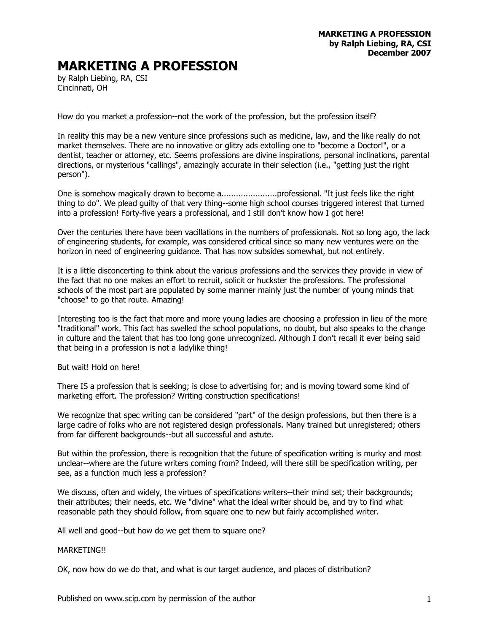## **MARKETING A PROFESSION**

by Ralph Liebing, RA, CSI Cincinnati, OH

How do you market a profession--not the work of the profession, but the profession itself?

In reality this may be a new venture since professions such as medicine, law, and the like really do not market themselves. There are no innovative or glitzy ads extolling one to "become a Doctor!", or a dentist, teacher or attorney, etc. Seems professions are divine inspirations, personal inclinations, parental directions, or mysterious "callings", amazingly accurate in their selection (i.e., "getting just the right person").

One is somehow magically drawn to become a.......................professional. "It just feels like the right thing to do". We plead guilty of that very thing--some high school courses triggered interest that turned into a profession! Forty-five years a professional, and I still don't know how I got here!

Over the centuries there have been vacillations in the numbers of professionals. Not so long ago, the lack of engineering students, for example, was considered critical since so many new ventures were on the horizon in need of engineering guidance. That has now subsides somewhat, but not entirely.

It is a little disconcerting to think about the various professions and the services they provide in view of the fact that no one makes an effort to recruit, solicit or huckster the professions. The professional schools of the most part are populated by some manner mainly just the number of young minds that "choose" to go that route. Amazing!

Interesting too is the fact that more and more young ladies are choosing a profession in lieu of the more "traditional" work. This fact has swelled the school populations, no doubt, but also speaks to the change in culture and the talent that has too long gone unrecognized. Although I don't recall it ever being said that being in a profession is not a ladylike thing!

But wait! Hold on here!

There IS a profession that is seeking; is close to advertising for; and is moving toward some kind of marketing effort. The profession? Writing construction specifications!

We recognize that spec writing can be considered "part" of the design professions, but then there is a large cadre of folks who are not registered design professionals. Many trained but unregistered; others from far different backgrounds--but all successful and astute.

But within the profession, there is recognition that the future of specification writing is murky and most unclear--where are the future writers coming from? Indeed, will there still be specification writing, per see, as a function much less a profession?

We discuss, often and widely, the virtues of specifications writers--their mind set; their backgrounds; their attributes; their needs, etc. We "divine" what the ideal writer should be, and try to find what reasonable path they should follow, from square one to new but fairly accomplished writer.

All well and good--but how do we get them to square one?

## MARKETING!!

OK, now how do we do that, and what is our target audience, and places of distribution?